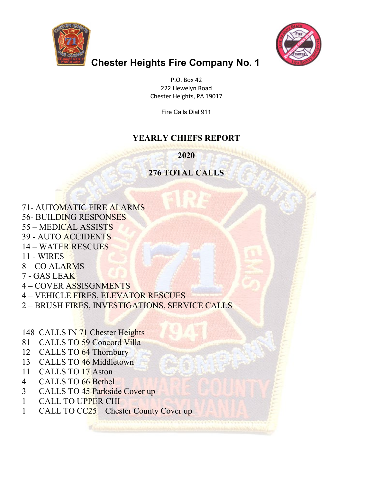



## **Chester Heights Fire Company No. 1**

P.O. Box 42 222 Llewelyn Road Chester Heights, PA 19017

Fire Calls Dial 911

## **YEARLY CHIEFS REPORT**

**2020**

## **276 TOTAL CALLS**

71- AUTOMATIC FIRE ALARMS 56- BUILDING RESPONSES 55 – MEDICAL ASSISTS 39 - AUTO ACCIDENTS 14 – WATER RESCUES 11 - WIRES 8 – CO ALARMS 7 - GAS LEAK

- 4 COVER ASSISGNMENTS
- 4 VEHICLE FIRES, ELEVATOR RESCUES
- 2 BRUSH FIRES, INVESTIGATIONS, SERVICE CALLS
- 148 CALLS IN 71 Chester Heights
- 81 CALLS TO 59 Concord Villa
- 12 CALLS TO 64 Thornbury
- 13 CALLS TO 46 Middletown
- 11 CALLS TO 17 Aston
- 4 CALLS TO 66 Bethel
- 3 CALLS TO 45 Parkside Cover up
- 1 CALL TO UPPER CHI
- 1 CALL TO CC25 Chester County Cover up